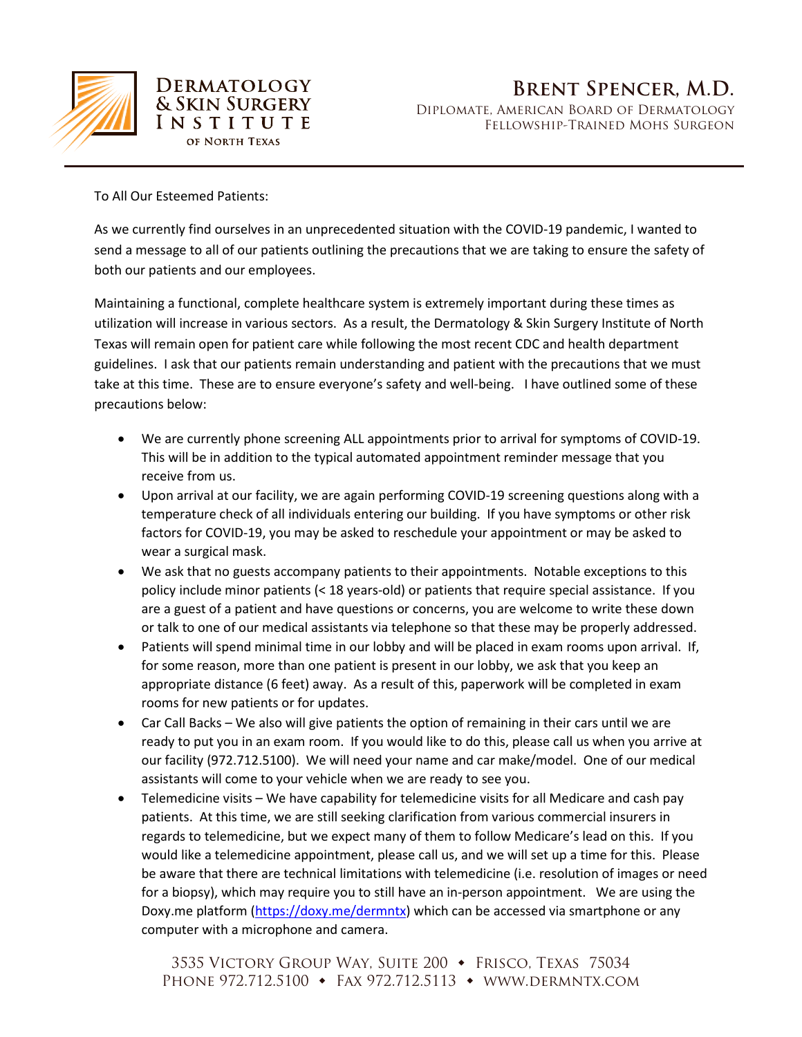

**DERMATOLOGY & SKIN SURGERY INSTITUTE** OF NORTH TEXAS

To All Our Esteemed Patients:

As we currently find ourselves in an unprecedented situation with the COVID-19 pandemic, I wanted to send a message to all of our patients outlining the precautions that we are taking to ensure the safety of both our patients and our employees.

Maintaining a functional, complete healthcare system is extremely important during these times as utilization will increase in various sectors. As a result, the Dermatology & Skin Surgery Institute of North Texas will remain open for patient care while following the most recent CDC and health department guidelines. I ask that our patients remain understanding and patient with the precautions that we must take at this time. These are to ensure everyone's safety and well-being. I have outlined some of these precautions below:

- We are currently phone screening ALL appointments prior to arrival for symptoms of COVID-19. This will be in addition to the typical automated appointment reminder message that you receive from us.
- Upon arrival at our facility, we are again performing COVID-19 screening questions along with a temperature check of all individuals entering our building. If you have symptoms or other risk factors for COVID-19, you may be asked to reschedule your appointment or may be asked to wear a surgical mask.
- We ask that no guests accompany patients to their appointments. Notable exceptions to this policy include minor patients (< 18 years-old) or patients that require special assistance. If you are a guest of a patient and have questions or concerns, you are welcome to write these down or talk to one of our medical assistants via telephone so that these may be properly addressed.
- Patients will spend minimal time in our lobby and will be placed in exam rooms upon arrival. If, for some reason, more than one patient is present in our lobby, we ask that you keep an appropriate distance (6 feet) away. As a result of this, paperwork will be completed in exam rooms for new patients or for updates.
- Car Call Backs We also will give patients the option of remaining in their cars until we are ready to put you in an exam room. If you would like to do this, please call us when you arrive at our facility (972.712.5100). We will need your name and car make/model. One of our medical assistants will come to your vehicle when we are ready to see you.
- Telemedicine visits We have capability for telemedicine visits for all Medicare and cash pay patients. At this time, we are still seeking clarification from various commercial insurers in regards to telemedicine, but we expect many of them to follow Medicare's lead on this. If you would like a telemedicine appointment, please call us, and we will set up a time for this. Please be aware that there are technical limitations with telemedicine (i.e. resolution of images or need for a biopsy), which may require you to still have an in-person appointment. We are using the Doxy.me platform [\(https://doxy.me/dermntx\)](https://doxy.me/dermntx) which can be accessed via smartphone or any computer with a microphone and camera.

3535 VICTORY GROUP WAY, SUITE 200 • FRISCO, TEXAS 75034 PHONE 972.712.5100 • FAX 972.712.5113 • WWW.DERMNTX.COM